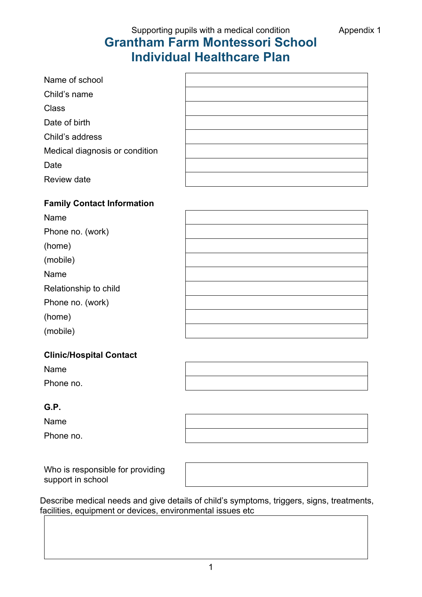Supporting pupils with a medical condition **Appendix 1** 

## **Grantham Farm Montessori School Individual Healthcare Plan**

| Name of school                 |  |
|--------------------------------|--|
| Child's name                   |  |
| <b>Class</b>                   |  |
| Date of birth                  |  |
| Child's address                |  |
| Medical diagnosis or condition |  |
| Date                           |  |
| Review date                    |  |

## **Family Contact Information**

| Name                  |  |
|-----------------------|--|
| Phone no. (work)      |  |
| (home)                |  |
| (mobile)              |  |
| Name                  |  |
| Relationship to child |  |
| Phone no. (work)      |  |
| (home)                |  |
| (mobile)              |  |

## **Clinic/Hospital Contact**

Name

Phone no.

## **G.P.**

Name

Phone no.

Who is responsible for providing support in school



Describe medical needs and give details of child's symptoms, triggers, signs, treatments, facilities, equipment or devices, environmental issues etc